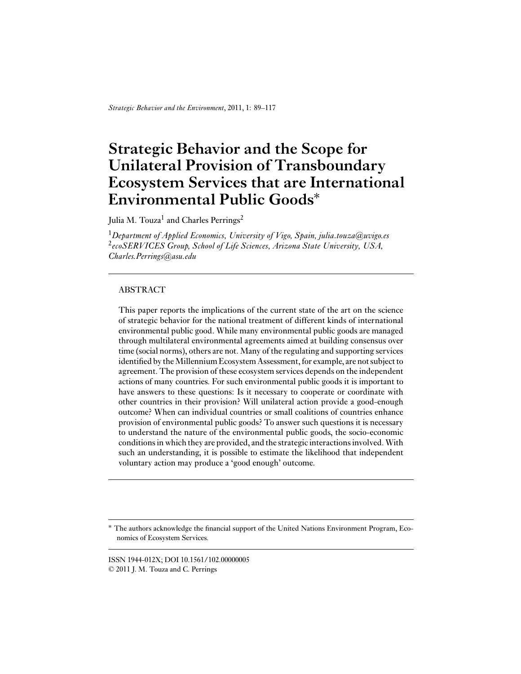*Strategic Behavior and the Environment*, 2011, 1: 89–117

# **Strategic Behavior and the Scope for Unilateral Provision of Transboundary Ecosystem Services that are International Environmental Public Goods**∗

Julia M. Touza<sup>1</sup> and Charles Perrings<sup>2</sup>

<sup>1</sup>*Department of Applied Economics, University of Vigo, Spain, julia.touza@uvigo.es* <sup>2</sup>*ecoSERVICES Group, School of Life Sciences, Arizona State University, USA, Charles.Perrings@asu.edu*

# ABSTRACT

This paper reports the implications of the current state of the art on the science of strategic behavior for the national treatment of different kinds of international environmental public good. While many environmental public goods are managed through multilateral environmental agreements aimed at building consensus over time (social norms), others are not. Many of the regulating and supporting services identified by the Millennium Ecosystem Assessment, for example, are not subject to agreement. The provision of these ecosystem services depends on the independent actions of many countries. For such environmental public goods it is important to have answers to these questions: Is it necessary to cooperate or coordinate with other countries in their provision? Will unilateral action provide a good-enough outcome? When can individual countries or small coalitions of countries enhance provision of environmental public goods? To answer such questions it is necessary to understand the nature of the environmental public goods, the socio-economic conditions in which they are provided, and the strategic interactions involved.With such an understanding, it is possible to estimate the likelihood that independent voluntary action may produce a 'good enough' outcome.

ISSN 1944-012X; DOI 10.1561/102.00000005 © 2011 J. M. Touza and C. Perrings

The authors acknowledge the financial support of the United Nations Environment Program, Economics of Ecosystem Services.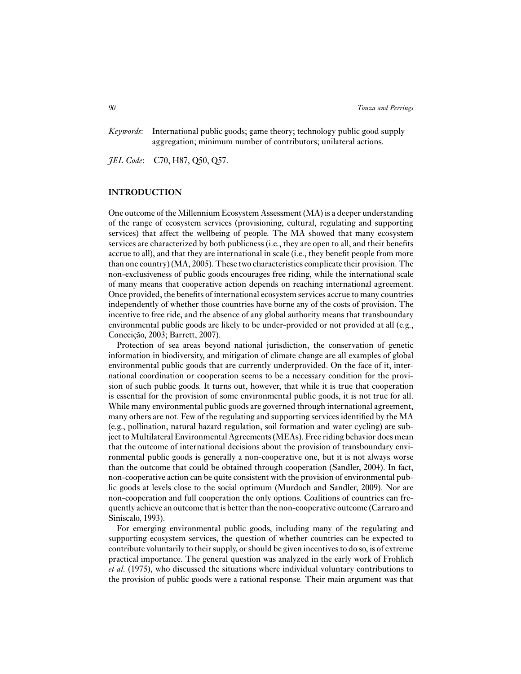*Keywords*: International public goods; game theory; technology public good supply aggregation; minimum number of contributors; unilateral actions.

*JEL Code*: C70, H87, Q50, Q57.

# **INTRODUCTION**

One outcome of the Millennium Ecosystem Assessment (MA) is a deeper understanding of the range of ecosystem services (provisioning, cultural, regulating and supporting services) that affect the wellbeing of people. The MA showed that many ecosystem services are characterized by both publicness (i.e., they are open to all, and their benefits accrue to all), and that they are international in scale (i.e., they benefit people from more than one country) (MA, 2005). These two characteristics complicate their provision. The non-exclusiveness of public goods encourages free riding, while the international scale of many means that cooperative action depends on reaching international agreement. Once provided, the benefits of international ecosystem services accrue to many countries independently of whether those countries have borne any of the costs of provision. The incentive to free ride, and the absence of any global authority means that transboundary environmental public goods are likely to be under-provided or not provided at all (e.g., Conceição, 2003; Barrett, 2007).

Protection of sea areas beyond national jurisdiction, the conservation of genetic information in biodiversity, and mitigation of climate change are all examples of global environmental public goods that are currently underprovided. On the face of it, international coordination or cooperation seems to be a necessary condition for the provision of such public goods. It turns out, however, that while it is true that cooperation is essential for the provision of some environmental public goods, it is not true for all. While many environmental public goods are governed through international agreement, many others are not. Few of the regulating and supporting services identified by the MA (e.g., pollination, natural hazard regulation, soil formation and water cycling) are subject to Multilateral Environmental Agreements (MEAs). Free riding behavior does mean that the outcome of international decisions about the provision of transboundary environmental public goods is generally a non-cooperative one, but it is not always worse than the outcome that could be obtained through cooperation (Sandler, 2004). In fact, non-cooperative action can be quite consistent with the provision of environmental public goods at levels close to the social optimum (Murdoch and Sandler, 2009). Nor are non-cooperation and full cooperation the only options. Coalitions of countries can frequently achieve an outcome that is better than the non-cooperative outcome (Carraro and Siniscalo, 1993).

For emerging environmental public goods, including many of the regulating and supporting ecosystem services, the question of whether countries can be expected to contribute voluntarily to their supply, or should be given incentives to do so, is of extreme practical importance. The general question was analyzed in the early work of Frohlich *et al.* (1975), who discussed the situations where individual voluntary contributions to the provision of public goods were a rational response. Their main argument was that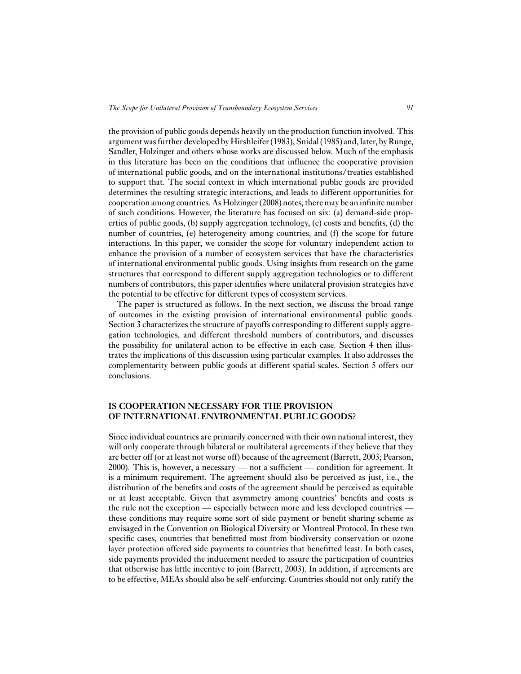the provision of public goods depends heavily on the production function involved. This argument was further developed by Hirshleifer (1983), Snidal (1985) and, later, by Runge, Sandler, Holzinger and others whose works are discussed below. Much of the emphasis in this literature has been on the conditions that influence the cooperative provision of international public goods, and on the international institutions/treaties established to support that. The social context in which international public goods are provided determines the resulting strategic interactions, and leads to different opportunities for cooperation among countries. As Holzinger (2008) notes, there may be an infinite number of such conditions. However, the literature has focused on six: (a) demand-side properties of public goods, (b) supply aggregation technology, (c) costs and benefits, (d) the number of countries, (e) heterogeneity among countries, and (f) the scope for future interactions. In this paper, we consider the scope for voluntary independent action to enhance the provision of a number of ecosystem services that have the characteristics of international environmental public goods. Using insights from research on the game structures that correspond to different supply aggregation technologies or to different numbers of contributors, this paper identifies where unilateral provision strategies have the potential to be effective for different types of ecosystem services.

The paper is structured as follows. In the next section, we discuss the broad range of outcomes in the existing provision of international environmental public goods. Section 3 characterizes the structure of payoffs corresponding to different supply aggregation technologies, and different threshold numbers of contributors, and discusses the possibility for unilateral action to be effective in each case. Section 4 then illustrates the implications of this discussion using particular examples. It also addresses the complementarity between public goods at different spatial scales. Section 5 offers our conclusions.

# **IS COOPERATION NECESSARY FOR THE PROVISION OF INTERNATIONAL ENVIRONMENTAL PUBLIC GOODS?**

Since individual countries are primarily concerned with their own national interest, they will only cooperate through bilateral or multilateral agreements if they believe that they are better off (or at least not worse off) because of the agreement (Barrett, 2003; Pearson, 2000). This is, however, a necessary — not a sufficient — condition for agreement. It is a minimum requirement. The agreement should also be perceived as just, i.e., the distribution of the benefits and costs of the agreement should be perceived as equitable or at least acceptable. Given that asymmetry among countries' benefits and costs is the rule not the exception — especially between more and less developed countries these conditions may require some sort of side payment or benefit sharing scheme as envisaged in the Convention on Biological Diversity or Montreal Protocol. In these two specific cases, countries that benefitted most from biodiversity conservation or ozone layer protection offered side payments to countries that benefitted least. In both cases, side payments provided the inducement needed to assure the participation of countries that otherwise has little incentive to join (Barrett, 2003). In addition, if agreements are to be effective, MEAs should also be self-enforcing. Countries should not only ratify the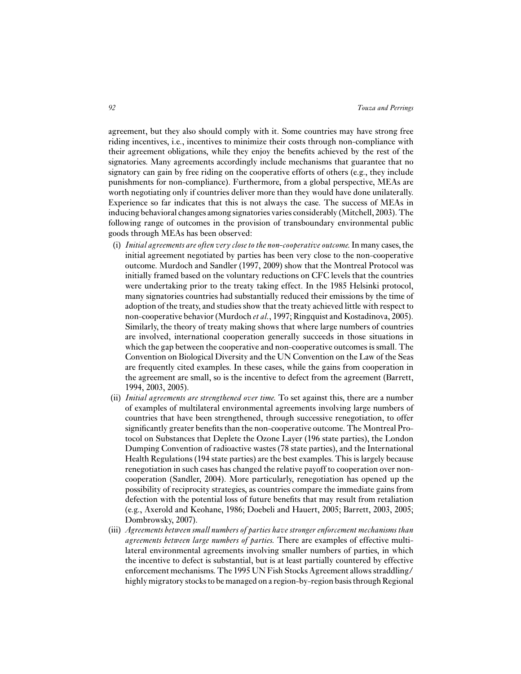agreement, but they also should comply with it. Some countries may have strong free riding incentives, i.e., incentives to minimize their costs through non-compliance with their agreement obligations, while they enjoy the benefits achieved by the rest of the signatories. Many agreements accordingly include mechanisms that guarantee that no signatory can gain by free riding on the cooperative efforts of others (e.g., they include punishments for non-compliance). Furthermore, from a global perspective, MEAs are worth negotiating only if countries deliver more than they would have done unilaterally. Experience so far indicates that this is not always the case. The success of MEAs in inducing behavioral changes among signatories varies considerably (Mitchell, 2003). The following range of outcomes in the provision of transboundary environmental public goods through MEAs has been observed:

- (i) *Initial agreements are often very close to the non-cooperative outcome.*In many cases, the initial agreement negotiated by parties has been very close to the non-cooperative outcome. Murdoch and Sandler (1997, 2009) show that the Montreal Protocol was initially framed based on the voluntary reductions on CFC levels that the countries were undertaking prior to the treaty taking effect. In the 1985 Helsinki protocol, many signatories countries had substantially reduced their emissions by the time of adoption of the treaty, and studies show that the treaty achieved little with respect to non-cooperative behavior (Murdoch *et al.*, 1997; Ringquist and Kostadinova, 2005). Similarly, the theory of treaty making shows that where large numbers of countries are involved, international cooperation generally succeeds in those situations in which the gap between the cooperative and non-cooperative outcomes is small. The Convention on Biological Diversity and the UN Convention on the Law of the Seas are frequently cited examples. In these cases, while the gains from cooperation in the agreement are small, so is the incentive to defect from the agreement (Barrett, 1994, 2003, 2005).
- (ii) *Initial agreements are strengthened over time.* To set against this, there are a number of examples of multilateral environmental agreements involving large numbers of countries that have been strengthened, through successive renegotiation, to offer significantly greater benefits than the non-cooperative outcome. The Montreal Protocol on Substances that Deplete the Ozone Layer (196 state parties), the London Dumping Convention of radioactive wastes (78 state parties), and the International Health Regulations (194 state parties) are the best examples. This is largely because renegotiation in such cases has changed the relative payoff to cooperation over noncooperation (Sandler, 2004). More particularly, renegotiation has opened up the possibility of reciprocity strategies, as countries compare the immediate gains from defection with the potential loss of future benefits that may result from retaliation (e.g., Axerold and Keohane, 1986; Doebeli and Hauert, 2005; Barrett, 2003, 2005; Dombrowsky, 2007).
- (iii) *Agreements between small numbers of parties have stronger enforcement mechanisms than agreements between large numbers of parties.* There are examples of effective multilateral environmental agreements involving smaller numbers of parties, in which the incentive to defect is substantial, but is at least partially countered by effective enforcement mechanisms. The 1995 UN Fish Stocks Agreement allows straddling/ highly migratory stocks to be managed on a region-by-region basis through Regional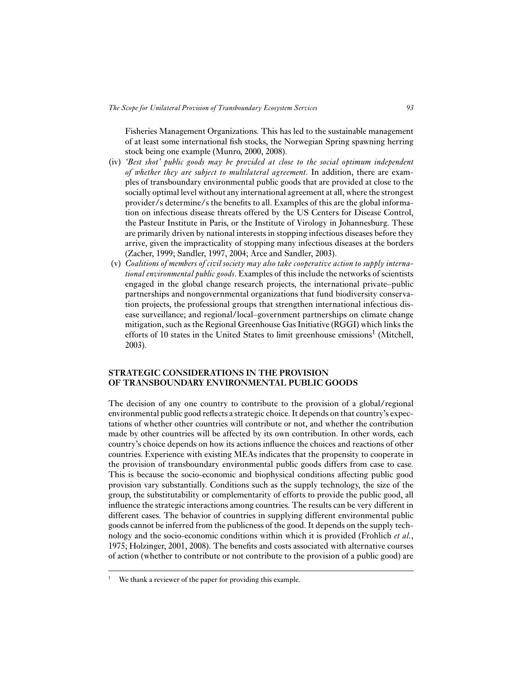Fisheries Management Organizations. This has led to the sustainable management of at least some international fish stocks, the Norwegian Spring spawning herring stock being one example (Munro, 2000, 2008).

- (iv) *'Best shot' public goods may be provided at close to the social optimum independent of whether they are subject to multilateral agreement*. In addition, there are examples of transboundary environmental public goods that are provided at close to the socially optimal level without any international agreement at all, where the strongest provider/s determine/s the benefits to all. Examples of this are the global information on infectious disease threats offered by the US Centers for Disease Control, the Pasteur Institute in Paris, or the Institute of Virology in Johannesburg. These are primarily driven by national interests in stopping infectious diseases before they arrive, given the impracticality of stopping many infectious diseases at the borders (Zacher, 1999; Sandler, 1997, 2004; Arce and Sandler, 2003).
- (v) *Coalitions of members of civil society may also take cooperative action to supply international environmental public goods*. Examples of this include the networks of scientists engaged in the global change research projects, the international private–public partnerships and nongovernmental organizations that fund biodiversity conservation projects, the professional groups that strengthen international infectious disease surveillance; and regional/local–government partnerships on climate change mitigation, such as the Regional Greenhouse Gas Initiative (RGGI) which links the efforts of 10 states in the United States to limit greenhouse emissions<sup>1</sup> (Mitchell, 2003).

## **STRATEGIC CONSIDERATIONS IN THE PROVISION OF TRANSBOUNDARY ENVIRONMENTAL PUBLIC GOODS**

The decision of any one country to contribute to the provision of a global/regional environmental public good reflects a strategic choice. It depends on that country's expectations of whether other countries will contribute or not, and whether the contribution made by other countries will be affected by its own contribution. In other words, each country's choice depends on how its actions influence the choices and reactions of other countries. Experience with existing MEAs indicates that the propensity to cooperate in the provision of transboundary environmental public goods differs from case to case. This is because the socio-economic and biophysical conditions affecting public good provision vary substantially. Conditions such as the supply technology, the size of the group, the substitutability or complementarity of efforts to provide the public good, all influence the strategic interactions among countries. The results can be very different in different cases. The behavior of countries in supplying different environmental public goods cannot be inferred from the publicness of the good. It depends on the supply technology and the socio-economic conditions within which it is provided (Frohlich *et al.*, 1975; Holzinger, 2001, 2008). The benefits and costs associated with alternative courses of action (whether to contribute or not contribute to the provision of a public good) are

We thank a reviewer of the paper for providing this example.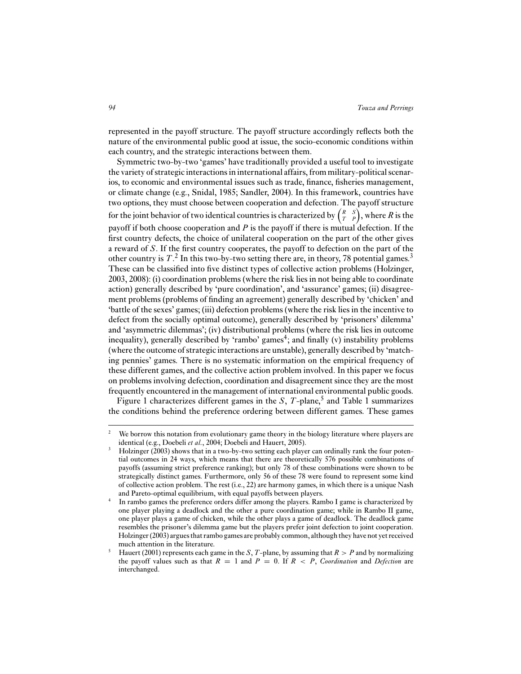represented in the payoff structure. The payoff structure accordingly reflects both the nature of the environmental public good at issue, the socio-economic conditions within each country, and the strategic interactions between them.

Symmetric two-by-two 'games' have traditionally provided a useful tool to investigate the variety of strategic interactions in international affairs, from military-political scenarios, to economic and environmental issues such as trade, finance, fisheries management, or climate change (e.g., Snidal, 1985; Sandler, 2004). In this framework, countries have two options, they must choose between cooperation and defection. The payoff structure for the joint behavior of two identical countries is characterized by  $\begin{pmatrix} R & S \\ T & P \end{pmatrix}$ , where *R* is the payoff if both choose cooperation and *P* is the payoff if there is mutual defection. If the first country defects, the choice of unilateral cooperation on the part of the other gives a reward of *S*. If the first country cooperates, the payoff to defection on the part of the other country is  $T<sup>2</sup>$ . In this two-by-two setting there are, in theory, 78 potential games.<sup>3</sup> These can be classified into five distinct types of collective action problems (Holzinger, 2003, 2008): (i) coordination problems (where the risk lies in not being able to coordinate action) generally described by 'pure coordination', and 'assurance' games; (ii) disagreement problems (problems of finding an agreement) generally described by 'chicken' and 'battle of the sexes' games; (iii) defection problems (where the risk lies in the incentive to defect from the socially optimal outcome), generally described by 'prisoners' dilemma' and 'asymmetric dilemmas'; (iv) distributional problems (where the risk lies in outcome inequality), generally described by 'rambo' games<sup>4</sup>; and finally (v) instability problems (where the outcome of strategic interactions are unstable), generally described by 'matching pennies' games. There is no systematic information on the empirical frequency of these different games, and the collective action problem involved. In this paper we focus on problems involving defection, coordination and disagreement since they are the most frequently encountered in the management of international environmental public goods.

Figure 1 characterizes different games in the  $S$ ,  $T$ -plane,<sup>5</sup> and Table 1 summarizes the conditions behind the preference ordering between different games. These games

<sup>&</sup>lt;sup>2</sup> We borrow this notation from evolutionary game theory in the biology literature where players are identical (e.g., Doebeli *et al.*, 2004; Doebeli and Hauert, 2005).

<sup>3</sup> Holzinger (2003) shows that in a two-by-two setting each player can ordinally rank the four potential outcomes in 24 ways, which means that there are theoretically 576 possible combinations of payoffs (assuming strict preference ranking); but only 78 of these combinations were shown to be strategically distinct games. Furthermore, only 56 of these 78 were found to represent some kind of collective action problem. The rest (i.e., 22) are harmony games, in which there is a unique Nash and Pareto-optimal equilibrium, with equal payoffs between players.

<sup>4</sup> In rambo games the preference orders differ among the players. Rambo I game is characterized by one player playing a deadlock and the other a pure coordination game; while in Rambo II game, one player plays a game of chicken, while the other plays a game of deadlock. The deadlock game resembles the prisoner's dilemma game but the players prefer joint defection to joint cooperation. Holzinger (2003) argues that rambo games are probably common, although they have not yet received much attention in the literature.

<sup>5</sup> Hauert (2001) represents each game in the *S*, *T*-plane, by assuming that *R* > *P* and by normalizing the payoff values such as that  $R = 1$  and  $P = 0$ . If  $R < P$ , *Coordination* and *Defection* are interchanged.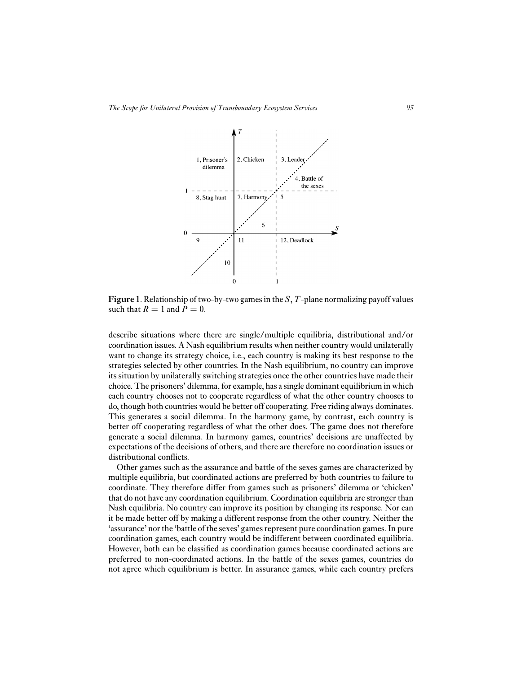

**Figure 1**. Relationship of two-by-two games in the *S*, *T*-plane normalizing payoff values such that  $R = 1$  and  $P = 0$ .

describe situations where there are single/multiple equilibria, distributional and/or coordination issues. A Nash equilibrium results when neither country would unilaterally want to change its strategy choice, i.e., each country is making its best response to the strategies selected by other countries. In the Nash equilibrium, no country can improve its situation by unilaterally switching strategies once the other countries have made their choice. The prisoners' dilemma, for example, has a single dominant equilibrium in which each country chooses not to cooperate regardless of what the other country chooses to do, though both countries would be better off cooperating. Free riding always dominates. This generates a social dilemma. In the harmony game, by contrast, each country is better off cooperating regardless of what the other does. The game does not therefore generate a social dilemma. In harmony games, countries' decisions are unaffected by expectations of the decisions of others, and there are therefore no coordination issues or distributional conflicts.

Other games such as the assurance and battle of the sexes games are characterized by multiple equilibria, but coordinated actions are preferred by both countries to failure to coordinate. They therefore differ from games such as prisoners' dilemma or 'chicken' that do not have any coordination equilibrium. Coordination equilibria are stronger than Nash equilibria. No country can improve its position by changing its response. Nor can it be made better off by making a different response from the other country. Neither the 'assurance' nor the 'battle of the sexes' games represent pure coordination games. In pure coordination games, each country would be indifferent between coordinated equilibria. However, both can be classified as coordination games because coordinated actions are preferred to non-coordinated actions. In the battle of the sexes games, countries do not agree which equilibrium is better. In assurance games, while each country prefers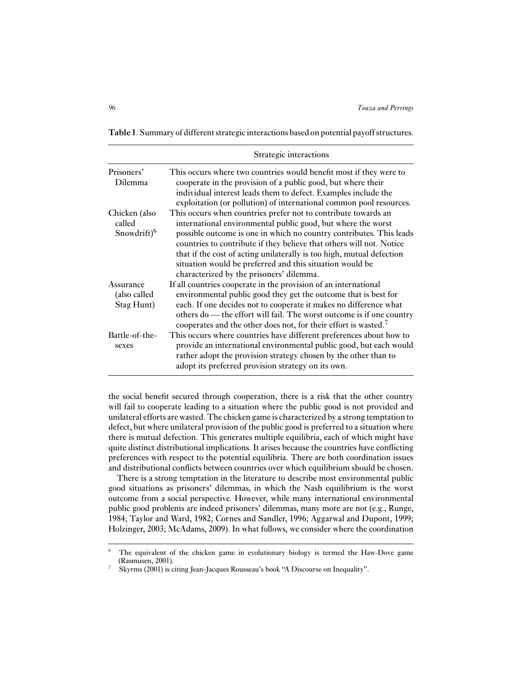**Table 1**. Summary of different strategic interactions based on potential payoff structures.

|                                                    | Strategic interactions                                                                                                                                                                                                                                                                                                                                                                                                                                         |
|----------------------------------------------------|----------------------------------------------------------------------------------------------------------------------------------------------------------------------------------------------------------------------------------------------------------------------------------------------------------------------------------------------------------------------------------------------------------------------------------------------------------------|
| Prisoners'<br>Dilemma                              | This occurs where two countries would benefit most if they were to<br>cooperate in the provision of a public good, but where their<br>individual interest leads them to defect. Examples include the<br>exploitation (or pollution) of international common pool resources.                                                                                                                                                                                    |
| Chicken (also<br>called<br>Snowdrift) <sup>6</sup> | This occurs when countries prefer not to contribute towards an<br>international environmental public good, but where the worst<br>possible outcome is one in which no country contributes. This leads<br>countries to contribute if they believe that others will not. Notice<br>that if the cost of acting unilaterally is too high, mutual defection<br>situation would be preferred and this situation would be<br>characterized by the prisoners' dilemma. |
| Assurance<br>(also called<br>Stag Hunt)            | If all countries cooperate in the provision of an international<br>environmental public good they get the outcome that is best for<br>each. If one decides not to cooperate it makes no difference what<br>others do — the effort will fail. The worst outcome is if one country<br>cooperates and the other does not, for their effort is wasted. <sup>7</sup>                                                                                                |
| Battle-of-the-<br>sexes                            | This occurs where countries have different preferences about how to<br>provide an international environmental public good, but each would<br>rather adopt the provision strategy chosen by the other than to<br>adopt its preferred provision strategy on its own.                                                                                                                                                                                             |

the social benefit secured through cooperation, there is a risk that the other country will fail to cooperate leading to a situation where the public good is not provided and unilateral efforts are wasted. The chicken game is characterized by a strong temptation to defect, but where unilateral provision of the public good is preferred to a situation where there is mutual defection. This generates multiple equilibria, each of which might have quite distinct distributional implications. It arises because the countries have conflicting preferences with respect to the potential equilibria. There are both coordination issues and distributional conflicts between countries over which equilibrium should be chosen.

There is a strong temptation in the literature to describe most environmental public good situations as prisoners' dilemmas, in which the Nash equilibrium is the worst outcome from a social perspective. However, while many international environmental public good problems are indeed prisoners' dilemmas, many more are not (e.g., Runge, 1984; Taylor and Ward, 1982; Cornes and Sandler, 1996; Aggarwal and Dupont, 1999; Holzinger, 2003; McAdams, 2009). In what follows, we consider where the coordination

<sup>&</sup>lt;sup>6</sup> The equivalent of the chicken game in evolutionary biology is termed the Haw-Dove game (Rasmusen, 2001).

<sup>7</sup> Skyrms (2001) is citing Jean-Jacques Rousseau's book "A Discourse on Inequality".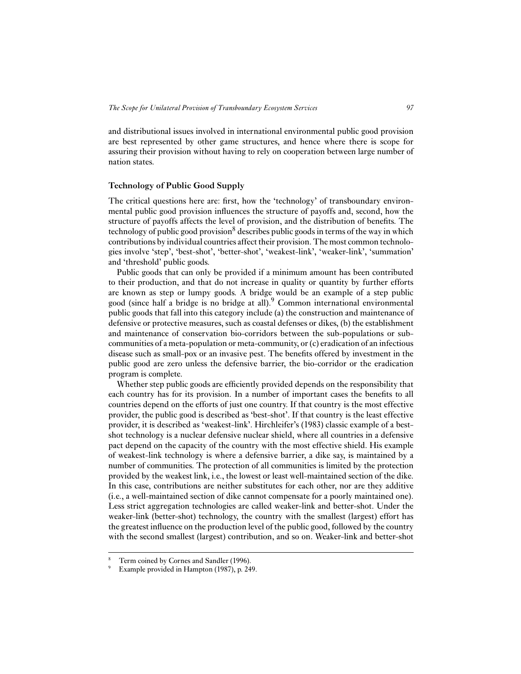and distributional issues involved in international environmental public good provision are best represented by other game structures, and hence where there is scope for assuring their provision without having to rely on cooperation between large number of nation states.

#### **Technology of Public Good Supply**

The critical questions here are: first, how the 'technology' of transboundary environmental public good provision influences the structure of payoffs and, second, how the structure of payoffs affects the level of provision, and the distribution of benefits. The technology of public good provision<sup>8</sup> describes public goods in terms of the way in which contributions by individual countries affect their provision. The most common technologies involve 'step', 'best-shot', 'better-shot', 'weakest-link', 'weaker-link', 'summation' and 'threshold' public goods.

Public goods that can only be provided if a minimum amount has been contributed to their production, and that do not increase in quality or quantity by further efforts are known as step or lumpy goods. A bridge would be an example of a step public good (since half a bridge is no bridge at all).<sup>9</sup> Common international environmental public goods that fall into this category include (a) the construction and maintenance of defensive or protective measures, such as coastal defenses or dikes, (b) the establishment and maintenance of conservation bio-corridors between the sub-populations or subcommunities of a meta-population or meta-community, or (c) eradication of an infectious disease such as small-pox or an invasive pest. The benefits offered by investment in the public good are zero unless the defensive barrier, the bio-corridor or the eradication program is complete.

Whether step public goods are efficiently provided depends on the responsibility that each country has for its provision. In a number of important cases the benefits to all countries depend on the efforts of just one country. If that country is the most effective provider, the public good is described as 'best-shot'. If that country is the least effective provider, it is described as 'weakest-link'. Hirchleifer's (1983) classic example of a bestshot technology is a nuclear defensive nuclear shield, where all countries in a defensive pact depend on the capacity of the country with the most effective shield. His example of weakest-link technology is where a defensive barrier, a dike say, is maintained by a number of communities. The protection of all communities is limited by the protection provided by the weakest link, i.e., the lowest or least well-maintained section of the dike. In this case, contributions are neither substitutes for each other, nor are they additive (i.e., a well-maintained section of dike cannot compensate for a poorly maintained one). Less strict aggregation technologies are called weaker-link and better-shot. Under the weaker-link (better-shot) technology, the country with the smallest (largest) effort has the greatest influence on the production level of the public good, followed by the country with the second smallest (largest) contribution, and so on. Weaker-link and better-shot

Term coined by Cornes and Sandler (1996).

Example provided in Hampton (1987), p. 249.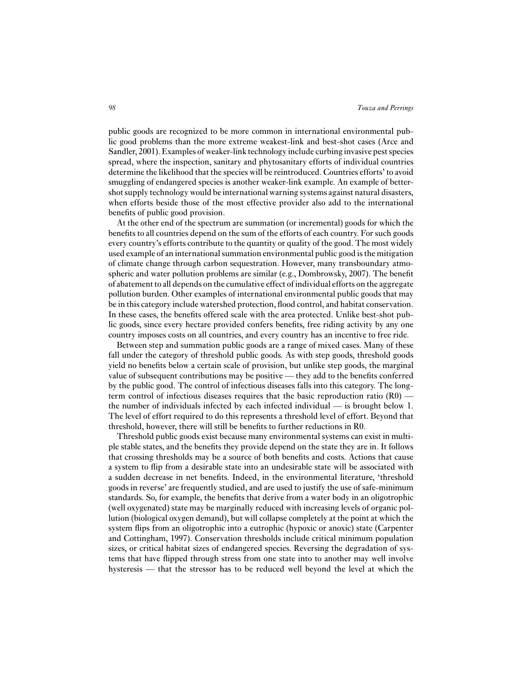public goods are recognized to be more common in international environmental public good problems than the more extreme weakest-link and best-shot cases (Arce and Sandler, 2001). Examples of weaker-link technology include curbing invasive pest species spread, where the inspection, sanitary and phytosanitary efforts of individual countries determine the likelihood that the species will be reintroduced. Countries efforts' to avoid smuggling of endangered species is another weaker-link example. An example of bettershot supply technology would be international warning systems against natural disasters, when efforts beside those of the most effective provider also add to the international benefits of public good provision.

At the other end of the spectrum are summation (or incremental) goods for which the benefits to all countries depend on the sum of the efforts of each country. For such goods every country's efforts contribute to the quantity or quality of the good. The most widely used example of an international summation environmental public good is the mitigation of climate change through carbon sequestration. However, many transboundary atmospheric and water pollution problems are similar (e.g., Dombrowsky, 2007). The benefit of abatement to all depends on the cumulative effect of individual efforts on the aggregate pollution burden. Other examples of international environmental public goods that may be in this category include watershed protection, flood control, and habitat conservation. In these cases, the benefits offered scale with the area protected. Unlike best-shot public goods, since every hectare provided confers benefits, free riding activity by any one country imposes costs on all countries, and every country has an incentive to free ride.

Between step and summation public goods are a range of mixed cases. Many of these fall under the category of threshold public goods. As with step goods, threshold goods yield no benefits below a certain scale of provision, but unlike step goods, the marginal value of subsequent contributions may be positive — they add to the benefits conferred by the public good. The control of infectious diseases falls into this category. The longterm control of infectious diseases requires that the basic reproduction ratio  $(R0)$  the number of individuals infected by each infected individual — is brought below 1. The level of effort required to do this represents a threshold level of effort. Beyond that threshold, however, there will still be benefits to further reductions in R0.

Threshold public goods exist because many environmental systems can exist in multiple stable states, and the benefits they provide depend on the state they are in. It follows that crossing thresholds may be a source of both benefits and costs. Actions that cause a system to flip from a desirable state into an undesirable state will be associated with a sudden decrease in net benefits. Indeed, in the environmental literature, 'threshold goods in reverse' are frequently studied, and are used to justify the use of safe-minimum standards. So, for example, the benefits that derive from a water body in an oligotrophic (well oxygenated) state may be marginally reduced with increasing levels of organic pollution (biological oxygen demand), but will collapse completely at the point at which the system flips from an oligotrophic into a eutrophic (hypoxic or anoxic) state (Carpenter and Cottingham, 1997). Conservation thresholds include critical minimum population sizes, or critical habitat sizes of endangered species. Reversing the degradation of systems that have flipped through stress from one state into to another may well involve hysteresis — that the stressor has to be reduced well beyond the level at which the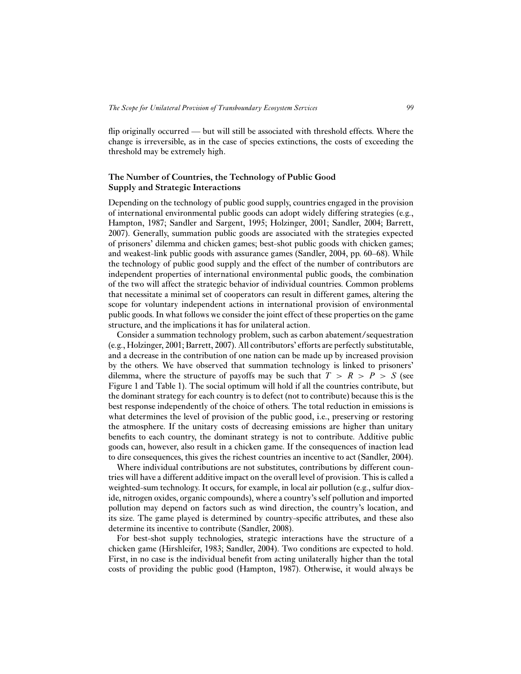flip originally occurred — but will still be associated with threshold effects. Where the change is irreversible, as in the case of species extinctions, the costs of exceeding the threshold may be extremely high.

# **The Number of Countries, the Technology of Public Good Supply and Strategic Interactions**

Depending on the technology of public good supply, countries engaged in the provision of international environmental public goods can adopt widely differing strategies (e.g., Hampton, 1987; Sandler and Sargent, 1995; Holzinger, 2001; Sandler, 2004; Barrett, 2007). Generally, summation public goods are associated with the strategies expected of prisoners' dilemma and chicken games; best-shot public goods with chicken games; and weakest-link public goods with assurance games (Sandler, 2004, pp. 60–68). While the technology of public good supply and the effect of the number of contributors are independent properties of international environmental public goods, the combination of the two will affect the strategic behavior of individual countries. Common problems that necessitate a minimal set of cooperators can result in different games, altering the scope for voluntary independent actions in international provision of environmental public goods. In what follows we consider the joint effect of these properties on the game structure, and the implications it has for unilateral action.

Consider a summation technology problem, such as carbon abatement/sequestration (e.g., Holzinger, 2001; Barrett, 2007). All contributors' efforts are perfectly substitutable, and a decrease in the contribution of one nation can be made up by increased provision by the others. We have observed that summation technology is linked to prisoners' dilemma, where the structure of payoffs may be such that  $T > R > P > S$  (see Figure 1 and Table 1). The social optimum will hold if all the countries contribute, but the dominant strategy for each country is to defect (not to contribute) because this is the best response independently of the choice of others. The total reduction in emissions is what determines the level of provision of the public good, i.e., preserving or restoring the atmosphere. If the unitary costs of decreasing emissions are higher than unitary benefits to each country, the dominant strategy is not to contribute. Additive public goods can, however, also result in a chicken game. If the consequences of inaction lead to dire consequences, this gives the richest countries an incentive to act (Sandler, 2004).

Where individual contributions are not substitutes, contributions by different countries will have a different additive impact on the overall level of provision. This is called a weighted-sum technology. It occurs, for example, in local air pollution (e.g., sulfur dioxide, nitrogen oxides, organic compounds), where a country's self pollution and imported pollution may depend on factors such as wind direction, the country's location, and its size. The game played is determined by country-specific attributes, and these also determine its incentive to contribute (Sandler, 2008).

For best-shot supply technologies, strategic interactions have the structure of a chicken game (Hirshleifer, 1983; Sandler, 2004). Two conditions are expected to hold. First, in no case is the individual benefit from acting unilaterally higher than the total costs of providing the public good (Hampton, 1987). Otherwise, it would always be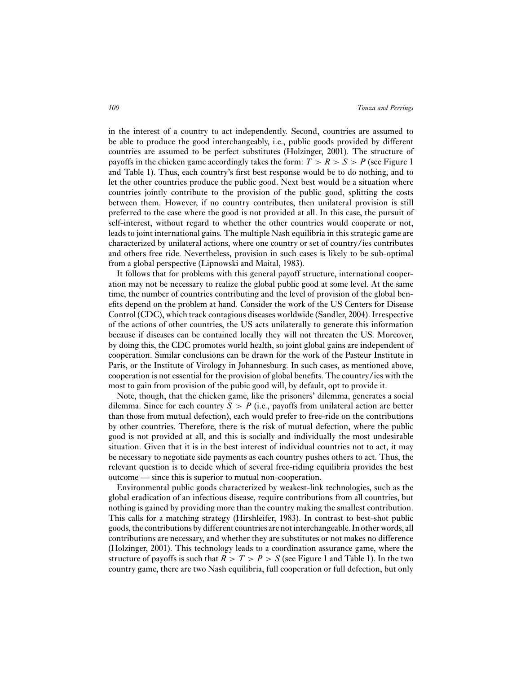in the interest of a country to act independently. Second, countries are assumed to be able to produce the good interchangeably, i.e., public goods provided by different countries are assumed to be perfect substitutes (Holzinger, 2001). The structure of payoffs in the chicken game accordingly takes the form:  $T > R > S > P$  (see Figure 1) and Table 1). Thus, each country's first best response would be to do nothing, and to let the other countries produce the public good. Next best would be a situation where countries jointly contribute to the provision of the public good, splitting the costs between them. However, if no country contributes, then unilateral provision is still preferred to the case where the good is not provided at all. In this case, the pursuit of self-interest, without regard to whether the other countries would cooperate or not, leads to joint international gains. The multiple Nash equilibria in this strategic game are characterized by unilateral actions, where one country or set of country/ies contributes and others free ride. Nevertheless, provision in such cases is likely to be sub-optimal from a global perspective (Lipnowski and Maital, 1983).

It follows that for problems with this general payoff structure, international cooperation may not be necessary to realize the global public good at some level. At the same time, the number of countries contributing and the level of provision of the global benefits depend on the problem at hand. Consider the work of the US Centers for Disease Control (CDC), which track contagious diseases worldwide (Sandler, 2004). Irrespective of the actions of other countries, the US acts unilaterally to generate this information because if diseases can be contained locally they will not threaten the US. Moreover, by doing this, the CDC promotes world health, so joint global gains are independent of cooperation. Similar conclusions can be drawn for the work of the Pasteur Institute in Paris, or the Institute of Virology in Johannesburg. In such cases, as mentioned above, cooperation is not essential for the provision of global benefits. The country/ies with the most to gain from provision of the pubic good will, by default, opt to provide it.

Note, though, that the chicken game, like the prisoners' dilemma, generates a social dilemma. Since for each country  $S > P$  (i.e., payoffs from unilateral action are better than those from mutual defection), each would prefer to free-ride on the contributions by other countries. Therefore, there is the risk of mutual defection, where the public good is not provided at all, and this is socially and individually the most undesirable situation. Given that it is in the best interest of individual countries not to act, it may be necessary to negotiate side payments as each country pushes others to act. Thus, the relevant question is to decide which of several free-riding equilibria provides the best outcome — since this is superior to mutual non-cooperation.

Environmental public goods characterized by weakest-link technologies, such as the global eradication of an infectious disease, require contributions from all countries, but nothing is gained by providing more than the country making the smallest contribution. This calls for a matching strategy (Hirshleifer, 1983). In contrast to best-shot public goods, the contributions by different countries are not interchangeable. In other words, all contributions are necessary, and whether they are substitutes or not makes no difference (Holzinger, 2001). This technology leads to a coordination assurance game, where the structure of payoffs is such that  $R > T > P > S$  (see Figure 1 and Table 1). In the two country game, there are two Nash equilibria, full cooperation or full defection, but only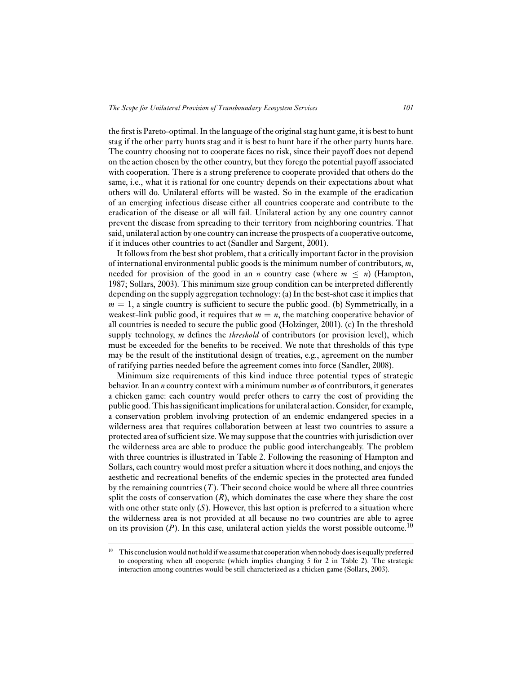the first is Pareto-optimal. In the language of the original stag hunt game, it is best to hunt stag if the other party hunts stag and it is best to hunt hare if the other party hunts hare. The country choosing not to cooperate faces no risk, since their payoff does not depend on the action chosen by the other country, but they forego the potential payoff associated with cooperation. There is a strong preference to cooperate provided that others do the same, i.e., what it is rational for one country depends on their expectations about what others will do. Unilateral efforts will be wasted. So in the example of the eradication of an emerging infectious disease either all countries cooperate and contribute to the eradication of the disease or all will fail. Unilateral action by any one country cannot prevent the disease from spreading to their territory from neighboring countries. That said, unilateral action by one country can increase the prospects of a cooperative outcome, if it induces other countries to act (Sandler and Sargent, 2001).

It follows from the best shot problem, that a critically important factor in the provision of international environmental public goods is the minimum number of contributors, *m*, needed for provision of the good in an *n* country case (where  $m \leq n$ ) (Hampton, 1987; Sollars, 2003). This minimum size group condition can be interpreted differently depending on the supply aggregation technology: (a) In the best-shot case it implies that  $m = 1$ , a single country is sufficient to secure the public good. (b) Symmetrically, in a weakest-link public good, it requires that  $m = n$ , the matching cooperative behavior of all countries is needed to secure the public good (Holzinger, 2001). (c) In the threshold supply technology, *m* defines the *threshold* of contributors (or provision level), which must be exceeded for the benefits to be received. We note that thresholds of this type may be the result of the institutional design of treaties, e.g., agreement on the number of ratifying parties needed before the agreement comes into force (Sandler, 2008).

Minimum size requirements of this kind induce three potential types of strategic behavior. In an *n* country context with a minimum number *m* of contributors, it generates a chicken game: each country would prefer others to carry the cost of providing the public good. This has significant implications for unilateral action. Consider, for example, a conservation problem involving protection of an endemic endangered species in a wilderness area that requires collaboration between at least two countries to assure a protected area of sufficient size. We may suppose that the countries with jurisdiction over the wilderness area are able to produce the public good interchangeably. The problem with three countries is illustrated in Table 2. Following the reasoning of Hampton and Sollars, each country would most prefer a situation where it does nothing, and enjoys the aesthetic and recreational benefits of the endemic species in the protected area funded by the remaining countries (*T*). Their second choice would be where all three countries split the costs of conservation  $(R)$ , which dominates the case where they share the cost with one other state only  $(S)$ . However, this last option is preferred to a situation where the wilderness area is not provided at all because no two countries are able to agree on its provision  $(P)$ . In this case, unilateral action yields the worst possible outcome.<sup>10</sup>

 $10$  This conclusion would not hold if we assume that cooperation when nobody does is equally preferred to cooperating when all cooperate (which implies changing 5 for 2 in Table 2). The strategic interaction among countries would be still characterized as a chicken game (Sollars, 2003).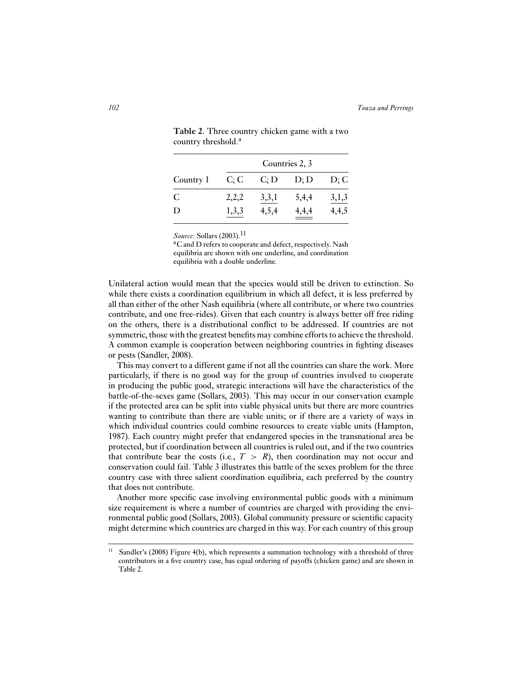|           |       |       | Countries 2, 3 |       |
|-----------|-------|-------|----------------|-------|
| Country 1 | C; C  | C; D  | D; D           | D; C  |
| C         | 2,2,2 | 3,3,1 | 5,4,4          | 3,1,3 |
| D         | 1,3,3 | 4,5,4 | 4,4,4          | 4,4,5 |

**Table 2**. Three country chicken game with a two country threshold.<sup>a</sup>

*Source*: Sollars (2003).<sup>11</sup>

<sup>a</sup>C and D refers to cooperate and defect, respectively. Nash equilibria are shown with one underline, and coordination equilibria with a double underline.

Unilateral action would mean that the species would still be driven to extinction. So while there exists a coordination equilibrium in which all defect, it is less preferred by all than either of the other Nash equilibria (where all contribute, or where two countries contribute, and one free-rides). Given that each country is always better off free riding on the others, there is a distributional conflict to be addressed. If countries are not symmetric, those with the greatest benefits may combine efforts to achieve the threshold. A common example is cooperation between neighboring countries in fighting diseases or pests (Sandler, 2008).

This may convert to a different game if not all the countries can share the work. More particularly, if there is no good way for the group of countries involved to cooperate in producing the public good, strategic interactions will have the characteristics of the battle-of-the-sexes game (Sollars, 2003). This may occur in our conservation example if the protected area can be split into viable physical units but there are more countries wanting to contribute than there are viable units; or if there are a variety of ways in which individual countries could combine resources to create viable units (Hampton, 1987). Each country might prefer that endangered species in the transnational area be protected, but if coordination between all countries is ruled out, and if the two countries that contribute bear the costs (i.e.,  $T > R$ ), then coordination may not occur and conservation could fail. Table 3 illustrates this battle of the sexes problem for the three country case with three salient coordination equilibria, each preferred by the country that does not contribute.

Another more specific case involving environmental public goods with a minimum size requirement is where a number of countries are charged with providing the environmental public good (Sollars, 2003). Global community pressure or scientific capacity might determine which countries are charged in this way. For each country of this group

<sup>&</sup>lt;sup>11</sup> Sandler's (2008) Figure 4(b), which represents a summation technology with a threshold of three contributors in a five country case, has equal ordering of payoffs (chicken game) and are shown in Table 2.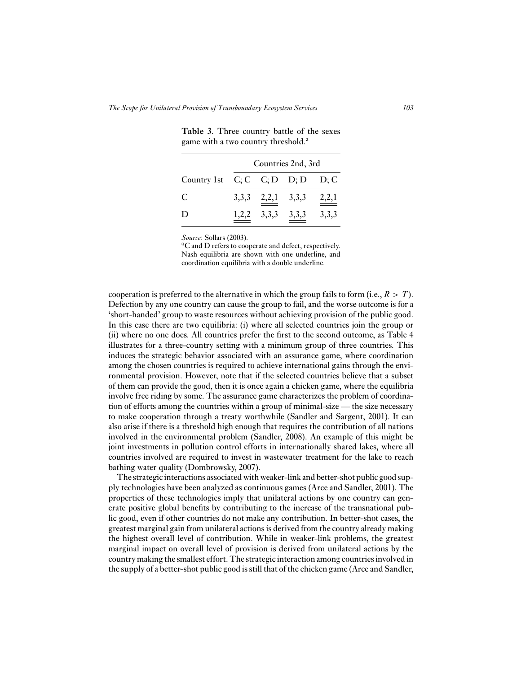|                                     |                         | Countries 2nd, 3rd |       |
|-------------------------------------|-------------------------|--------------------|-------|
| Country 1st $C; C; D$ $D; D$ $D; C$ |                         |                    |       |
| C                                   | $3,3,3$ $2,2,1$ $3,3,3$ |                    | 2,2,1 |
| D                                   | $1,2,2$ $3,3,3$         | 3,3,3              | 3,3,3 |

**Table 3**. Three country battle of the sexes game with a two country threshold.<sup>a</sup>

*Source*: Sollars (2003).<br><sup>a</sup>C and D refers to cooperate and defect, respectively. Nash equilibria are shown with one underline, and coordination equilibria with a double underline.

cooperation is preferred to the alternative in which the group fails to form (i.e.,  $R > T$ ). Defection by any one country can cause the group to fail, and the worse outcome is for a 'short-handed' group to waste resources without achieving provision of the public good. In this case there are two equilibria: (i) where all selected countries join the group or (ii) where no one does. All countries prefer the first to the second outcome, as Table 4 illustrates for a three-country setting with a minimum group of three countries. This induces the strategic behavior associated with an assurance game, where coordination among the chosen countries is required to achieve international gains through the environmental provision. However, note that if the selected countries believe that a subset of them can provide the good, then it is once again a chicken game, where the equilibria involve free riding by some. The assurance game characterizes the problem of coordination of efforts among the countries within a group of minimal-size — the size necessary to make cooperation through a treaty worthwhile (Sandler and Sargent, 2001). It can also arise if there is a threshold high enough that requires the contribution of all nations involved in the environmental problem (Sandler, 2008). An example of this might be joint investments in pollution control efforts in internationally shared lakes, where all countries involved are required to invest in wastewater treatment for the lake to reach bathing water quality (Dombrowsky, 2007).

The strategic interactions associated with weaker-link and better-shot public good supply technologies have been analyzed as continuous games (Arce and Sandler, 2001). The properties of these technologies imply that unilateral actions by one country can generate positive global benefits by contributing to the increase of the transnational public good, even if other countries do not make any contribution. In better-shot cases, the greatest marginal gain from unilateral actions is derived from the country already making the highest overall level of contribution. While in weaker-link problems, the greatest marginal impact on overall level of provision is derived from unilateral actions by the country making the smallest effort. The strategic interaction among countries involved in the supply of a better-shot public good is still that of the chicken game (Arce and Sandler,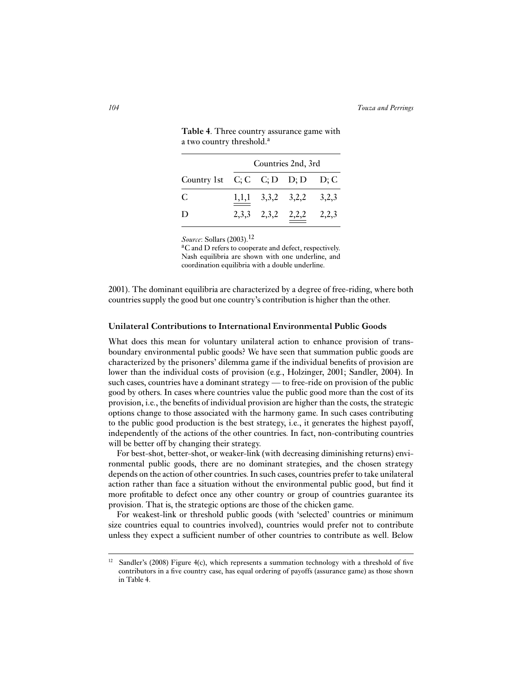|                                     |  | Countries 2nd, 3rd        |  |
|-------------------------------------|--|---------------------------|--|
| Country 1st $C; C; D$ $D; D$ $D; C$ |  |                           |  |
| C                                   |  | $1,1,1$ 3,3,2 3,2,2 3,2,3 |  |
| D                                   |  | 2,3,3 2,3,2 $2,2,2$ 2,2,3 |  |

**Table 4**. Three country assurance game with a two country threshold.<sup>a</sup>

*Source*: Sollars (2003).<sup>12</sup>

<sup>a</sup>C and D refers to cooperate and defect, respectively. Nash equilibria are shown with one underline, and coordination equilibria with a double underline.

2001). The dominant equilibria are characterized by a degree of free-riding, where both countries supply the good but one country's contribution is higher than the other.

#### **Unilateral Contributions to International Environmental Public Goods**

What does this mean for voluntary unilateral action to enhance provision of transboundary environmental public goods? We have seen that summation public goods are characterized by the prisoners' dilemma game if the individual benefits of provision are lower than the individual costs of provision (e.g., Holzinger, 2001; Sandler, 2004). In such cases, countries have a dominant strategy — to free-ride on provision of the public good by others. In cases where countries value the public good more than the cost of its provision, i.e., the benefits of individual provision are higher than the costs, the strategic options change to those associated with the harmony game. In such cases contributing to the public good production is the best strategy, i.e., it generates the highest payoff, independently of the actions of the other countries. In fact, non-contributing countries will be better off by changing their strategy.

For best-shot, better-shot, or weaker-link (with decreasing diminishing returns) environmental public goods, there are no dominant strategies, and the chosen strategy depends on the action of other countries. In such cases, countries prefer to take unilateral action rather than face a situation without the environmental public good, but find it more profitable to defect once any other country or group of countries guarantee its provision. That is, the strategic options are those of the chicken game.

For weakest-link or threshold public goods (with 'selected' countries or minimum size countries equal to countries involved), countries would prefer not to contribute unless they expect a sufficient number of other countries to contribute as well. Below

<sup>&</sup>lt;sup>12</sup> Sandler's (2008) Figure 4(c), which represents a summation technology with a threshold of five contributors in a five country case, has equal ordering of payoffs (assurance game) as those shown in Table 4.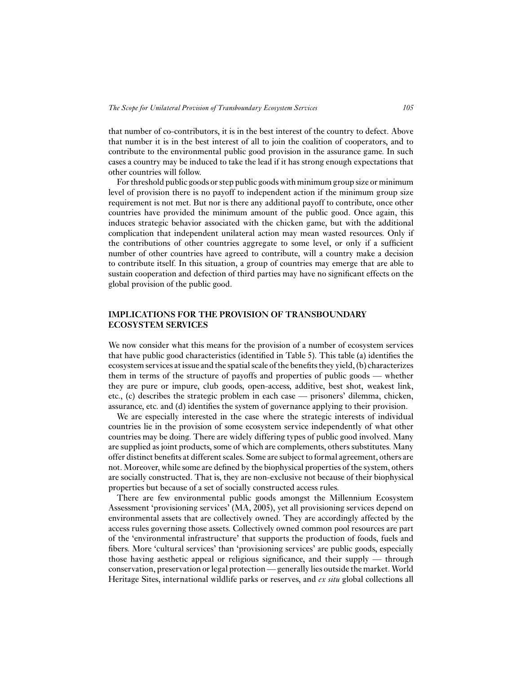that number of co-contributors, it is in the best interest of the country to defect. Above that number it is in the best interest of all to join the coalition of cooperators, and to contribute to the environmental public good provision in the assurance game. In such cases a country may be induced to take the lead if it has strong enough expectations that other countries will follow.

For threshold public goods or step public goods with minimum group size or minimum level of provision there is no payoff to independent action if the minimum group size requirement is not met. But nor is there any additional payoff to contribute, once other countries have provided the minimum amount of the public good. Once again, this induces strategic behavior associated with the chicken game, but with the additional complication that independent unilateral action may mean wasted resources. Only if the contributions of other countries aggregate to some level, or only if a sufficient number of other countries have agreed to contribute, will a country make a decision to contribute itself. In this situation, a group of countries may emerge that are able to sustain cooperation and defection of third parties may have no significant effects on the global provision of the public good.

# **IMPLICATIONS FOR THE PROVISION OF TRANSBOUNDARY ECOSYSTEM SERVICES**

We now consider what this means for the provision of a number of ecosystem services that have public good characteristics (identified in Table 5). This table (a) identifies the ecosystem services at issue and the spatial scale of the benefits they yield, (b) characterizes them in terms of the structure of payoffs and properties of public goods — whether they are pure or impure, club goods, open-access, additive, best shot, weakest link, etc., (c) describes the strategic problem in each case — prisoners' dilemma, chicken, assurance, etc. and (d) identifies the system of governance applying to their provision.

We are especially interested in the case where the strategic interests of individual countries lie in the provision of some ecosystem service independently of what other countries may be doing. There are widely differing types of public good involved. Many are supplied as joint products, some of which are complements, others substitutes. Many offer distinct benefits at different scales. Some are subject to formal agreement, others are not. Moreover, while some are defined by the biophysical properties of the system, others are socially constructed. That is, they are non-exclusive not because of their biophysical properties but because of a set of socially constructed access rules.

There are few environmental public goods amongst the Millennium Ecosystem Assessment 'provisioning services' (MA, 2005), yet all provisioning services depend on environmental assets that are collectively owned. They are accordingly affected by the access rules governing those assets. Collectively owned common pool resources are part of the 'environmental infrastructure' that supports the production of foods, fuels and fibers. More 'cultural services' than 'provisioning services' are public goods, especially those having aesthetic appeal or religious significance, and their supply — through conservation, preservation or legal protection— generally lies outside the market. World Heritage Sites, international wildlife parks or reserves, and *ex situ* global collections all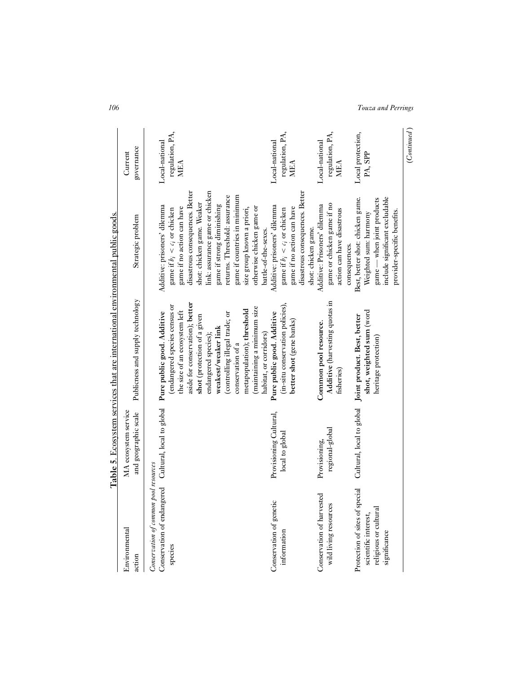|                                                                                               |                        | <b>Table 5</b> . Ecosystem services that are international environmental public goods. |                                  |                      |
|-----------------------------------------------------------------------------------------------|------------------------|----------------------------------------------------------------------------------------|----------------------------------|----------------------|
| Environmental                                                                                 | MA ecosystem service   |                                                                                        |                                  | Current              |
| action                                                                                        | and geographic scale   | Publicness and supply technology                                                       | Strategic problem                | governance           |
| Conservation of endangered Cultural, local to global<br>Conservation of common pool resources |                        | Pure public good. Additive                                                             | Additive: prisoners' dilemma     | Local-national       |
| species                                                                                       |                        | (endangered species census or                                                          | game if $b_i < c_i$ or chicken   | regulation, PA,      |
|                                                                                               |                        | the size of an ecosystem left                                                          | game if no action can have       | MEA                  |
|                                                                                               |                        | aside for conservation); better                                                        | disastrous consequences. Better  |                      |
|                                                                                               |                        | shot (protection of a given                                                            | shot: chicken game. Weaker       |                      |
|                                                                                               |                        | endangered species);                                                                   | link: assurance game or chicken  |                      |
|                                                                                               |                        | weakest/weaker link                                                                    | game if strong diminishing       |                      |
|                                                                                               |                        | (controlling illegal trade; or                                                         | returns. Threshold: assurance    |                      |
|                                                                                               |                        | conservation of a                                                                      | game if countries in minimum     |                      |
|                                                                                               |                        | metapopulation); threshold                                                             | size group known a priori,       |                      |
|                                                                                               |                        | (maintaining a minimum size                                                            | otherwise chicken game or        |                      |
|                                                                                               |                        | habitat, or corridors)                                                                 | battle-of-the-sexes.             |                      |
| Conservation of genetic                                                                       | Provisioning Cultural, | Pure public good. Additive                                                             | Additive: prisoners' dilemma     | Local-national       |
| information                                                                                   | local to global        | (in-situ conservation policies),                                                       | game if $b_i < c_i$ or chicken   | regulation, PA,      |
|                                                                                               |                        | better shot (gene banks)                                                               | game if no action can have       | <b>MEA</b>           |
|                                                                                               |                        |                                                                                        | disastrous consequences. Better  |                      |
|                                                                                               |                        |                                                                                        | shot: chicken game.              |                      |
| Conservation of harvested                                                                     | Provisioning,          | Common pool resource.                                                                  | Additive: Prisoners' dilemma     | Local-national       |
| wild living resources                                                                         | regional-global        | Additive (harvesting quotas in                                                         | game or chicken game if no       | regulation, PA,      |
|                                                                                               |                        | fisheries)                                                                             | action can have disastrous       | MEA                  |
|                                                                                               |                        |                                                                                        | consequences.                    |                      |
| Protection of sites of special<br>scientific interest,                                        |                        | Cultural, local to global Joint product. Best, better                                  | Best, better shot: chicken game. | Local protection,    |
|                                                                                               |                        | shot, weighted sum (word                                                               | Weighted sum: harmony            | PA, SPP              |
| religious or cultural                                                                         |                        | heritage protection)                                                                   | game — when joint products       |                      |
| significance                                                                                  |                        |                                                                                        | include significant excludable   |                      |
|                                                                                               |                        |                                                                                        | provider-specific benefits.      |                      |
|                                                                                               |                        |                                                                                        |                                  | $\sim$ $\sim$ $\sim$ |

*106 Touza and Perrings*

(Continued) (*Continued* )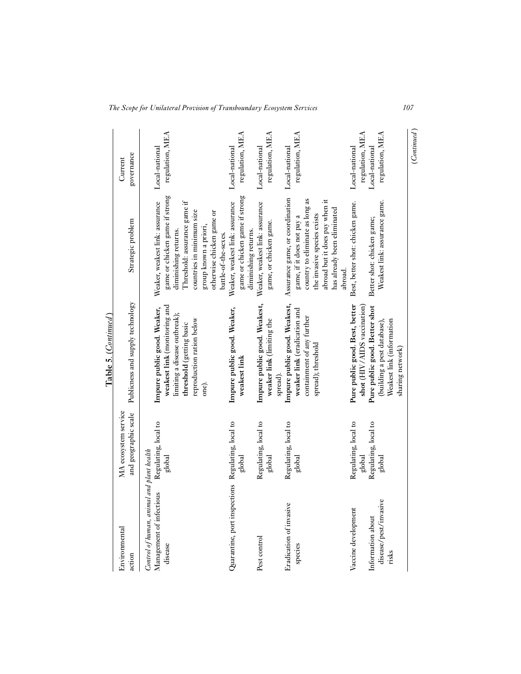|                                                                                  |                                                                  | Table 5. (Continued)                                                                                                                                                           |                                                                                                                                                                                                                                      |                                                                        |
|----------------------------------------------------------------------------------|------------------------------------------------------------------|--------------------------------------------------------------------------------------------------------------------------------------------------------------------------------|--------------------------------------------------------------------------------------------------------------------------------------------------------------------------------------------------------------------------------------|------------------------------------------------------------------------|
| Environmental<br>action                                                          | MA ecosystem service<br>and geographic scale                     | Publicness and supply technology                                                                                                                                               | Strategic problem                                                                                                                                                                                                                    | governance<br>Current                                                  |
| Control of human, animal and plant health<br>Management of infectious<br>disease | Regulating, local to<br>global                                   | weakest link (monitoring and<br>Impure public good. Weaker,<br>limiting a disease outbreak);<br>reproduction ration below<br>threshold (getting basic<br>one).                 | game or chicken game if strong<br>Threshold: assurance game if<br>Weaker, weakest link: assurance<br>countries in minimum size<br>otherwise chicken game or<br>group known a priori,<br>diminishing returns.<br>battle-of-the-sexes. | regulation, MEA<br>Local-national                                      |
| Quarantine, port inspections Regulating, local to                                | global                                                           | Impure public good. Weaker,<br>weakest link                                                                                                                                    | game or chicken game if strong<br>Weaker, weakest link: assurance<br>diminishing returns.                                                                                                                                            | regulation, MEA<br>Local-national                                      |
| Pest control                                                                     | Regulating, local to<br>global                                   | Impure public good. Weakest,<br>weaker link (limiting the<br>spread).                                                                                                          | Weaker, weakest link: assurance<br>game, or chicken game.                                                                                                                                                                            | regulation, MEA<br>Local-national                                      |
| Eradication of invasive<br>species                                               | Regulating, local to<br>global                                   | Impure public good. Weakest,<br>weaker link (eradication and<br>containment of any further<br>spread); threshold                                                               | Assurance game, or coordination<br>country to eliminate as long as<br>abroad but it does pay when it<br>has already been eliminated<br>the invasive species exists<br>game, if it does not pay a<br>abroad.                          | regulation, MEA<br>Local-national                                      |
| disease/pest/invasive<br>Vaccine development<br>Information about<br>risks       | Regulating, local to<br>Regulating, local to<br>global<br>global | Pure public good. Best, better<br>shot (HIV/AIDS vaccination)<br>Pure public good. Better shot<br>(building a pest database),<br>Weakest link (information<br>sharing network) | Weakest link: assurance game.<br>Best, better shot: chicken game.<br>Better shot: chicken game;                                                                                                                                      | regulation, MEA<br>regulation, MEA<br>Local-national<br>Local-national |
|                                                                                  |                                                                  |                                                                                                                                                                                |                                                                                                                                                                                                                                      | (Continued)                                                            |

*The Scope for Unilateral Provision of Transboundary Ecosystem Services 107*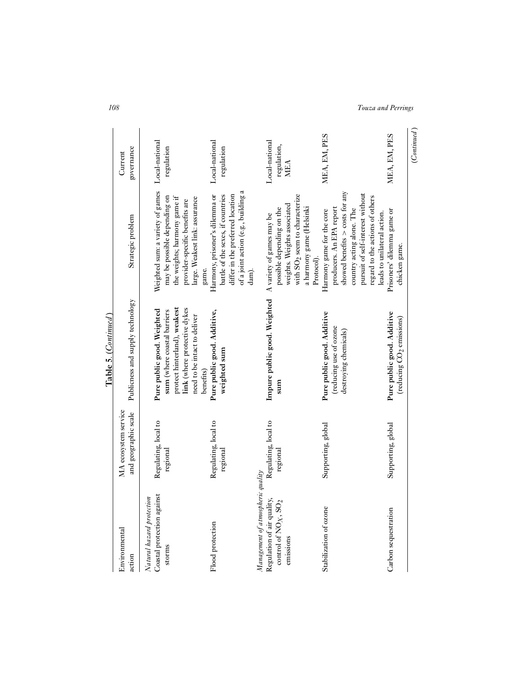| Environmental<br>action                                                                                | MA ecosystem service<br>and geographic scale | Publicness and supply technology                                                                                                                          | Strategic problem                                                                                                                                                                                                             | governance<br>Current                |
|--------------------------------------------------------------------------------------------------------|----------------------------------------------|-----------------------------------------------------------------------------------------------------------------------------------------------------------|-------------------------------------------------------------------------------------------------------------------------------------------------------------------------------------------------------------------------------|--------------------------------------|
| Coastal protection against<br>Natural hazard protection<br>storms                                      | Regulating, local to<br>regional             | protect hinterland), weakest<br>link (where protective dykes<br>Pure public good. Weighted<br>sum (where coastal barriers<br>need to be intact to deliver | Weighted sum: a variety of games<br>may be possible depending on<br>the weights; harmony game if<br>large. Weakest link: assurance<br>provider-specific benefits are                                                          | Local-national<br>regulation         |
| Flood protection                                                                                       | Regulating, local to<br>regional             | Pure public good. Additive,<br>weighted sum<br>benefits)                                                                                                  | of a joint action (e.g., building a<br>differ in the preferred location<br>Harmony, prisoner's dilemma or<br>battle of the sexes, if countries<br>game.<br>dam).                                                              | Local-national<br>regulation         |
| Management of atmospheric quality<br>Regulation of air quality,<br>control of $NO_X$ , SO<br>emissions | Regulating, local to<br>regional             | Impure public good. Weighted A variety of games may be<br>sum                                                                                             | with SO <sub>2</sub> seem to characterize<br>weights. Weights associated<br>a harmony game (Helsinki<br>possible depending on the<br>Protocol).                                                                               | Local-national<br>regulation,<br>MEA |
| Stabilization of ozone                                                                                 | Supporting, global                           | Pure public good. Additive<br>(reducing use of ozone<br>destroying chemicals)                                                                             | showed benefits $>$ costs for any<br>pursuit of self-interest without<br>regard to the actions of others<br>producers. An EPA report<br>country acting alone. The<br>Harmony game for the core<br>leads to unilateral action. | MEA, EM, PES                         |
| Carbon sequestration                                                                                   | Supporting, global                           | Pure public good. Additive<br>(reducing CO <sub>2</sub> emissions)                                                                                        | Prisoners' dilemma game or<br>chicken game.                                                                                                                                                                                   | MEA, EM, PES                         |

*108 Touza and Perrings*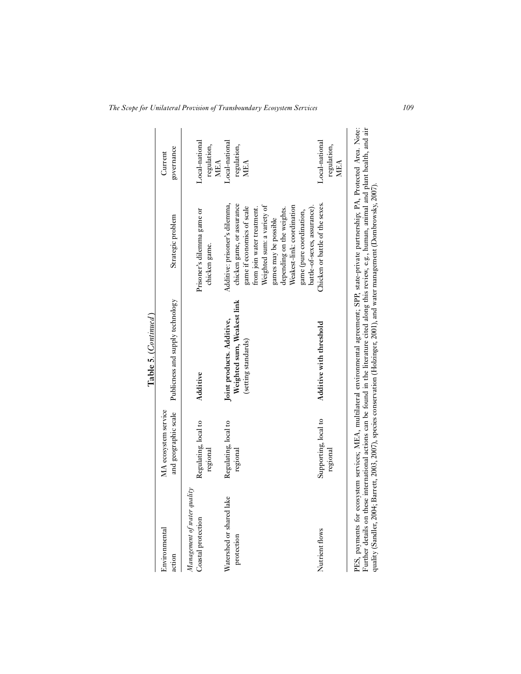|                                                   |                                              | Table 5. (Continued)                                                                                                                                                                                                                                                                                                                                                                                               |                                                                                                                                                                                                                                           |                                             |
|---------------------------------------------------|----------------------------------------------|--------------------------------------------------------------------------------------------------------------------------------------------------------------------------------------------------------------------------------------------------------------------------------------------------------------------------------------------------------------------------------------------------------------------|-------------------------------------------------------------------------------------------------------------------------------------------------------------------------------------------------------------------------------------------|---------------------------------------------|
| Environmental<br>action                           | MA ecosystem service<br>and geographic scale | Publicness and supply technology                                                                                                                                                                                                                                                                                                                                                                                   | Strategic problem                                                                                                                                                                                                                         | governance<br>Current                       |
| Management of water quality<br>Coastal protection | Regulating, local to<br>regional             | Additive                                                                                                                                                                                                                                                                                                                                                                                                           | Prisoner's dilemma game or<br>chicken game.                                                                                                                                                                                               | Local-national<br>regulation,<br><b>MEA</b> |
| Watershed or shared lake<br>protection            | Regulating, local to<br>regional             | Weighted sum, Weakest link<br>Joint products. Additive,<br>(setting standards)                                                                                                                                                                                                                                                                                                                                     | Additive: prisoner's dilemma,<br>chicken game, or assurance<br>Weighted sum: a variety of<br>Weakest-link: coordination<br>game if economics of scale<br>from join water treatment.<br>depending on the weights.<br>games may be possible | Local-national<br>regulation,<br>MEA        |
| Nutrient flows                                    | Supporting, local to<br>regional             | Additive with threshold                                                                                                                                                                                                                                                                                                                                                                                            | Chicken or battle of the sexes.<br>battle-of-sexes, assurance).<br>game (pure coordination,                                                                                                                                               | Local-national<br>regulation,<br><b>MEA</b> |
| PES, payments for                                 |                                              | ecosystem services; MEA, multilateral environmental agreement; SPP, state-private partnership; PA, Protected Area. Note:<br>Further details on these international actions can be found in the literature cited along this review, e.g., human, animal and plant health, and air<br>quality (Sandler, 2004; Barrett, 2003, 2007), species conservation (Holzinger, 2001), and water management (Dombrowsky, 2007). |                                                                                                                                                                                                                                           |                                             |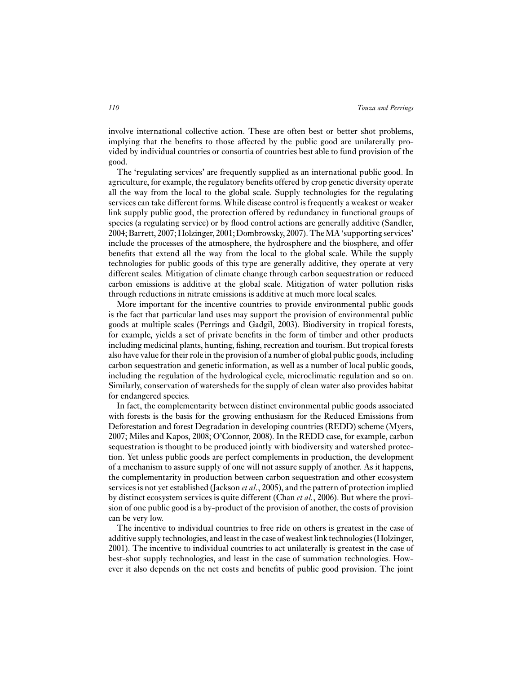involve international collective action. These are often best or better shot problems, implying that the benefits to those affected by the public good are unilaterally provided by individual countries or consortia of countries best able to fund provision of the good.

The 'regulating services' are frequently supplied as an international public good. In agriculture, for example, the regulatory benefits offered by crop genetic diversity operate all the way from the local to the global scale. Supply technologies for the regulating services can take different forms. While disease control is frequently a weakest or weaker link supply public good, the protection offered by redundancy in functional groups of species (a regulating service) or by flood control actions are generally additive (Sandler, 2004; Barrett, 2007; Holzinger, 2001; Dombrowsky, 2007). TheMA 'supporting services' include the processes of the atmosphere, the hydrosphere and the biosphere, and offer benefits that extend all the way from the local to the global scale. While the supply technologies for public goods of this type are generally additive, they operate at very different scales. Mitigation of climate change through carbon sequestration or reduced carbon emissions is additive at the global scale. Mitigation of water pollution risks through reductions in nitrate emissions is additive at much more local scales.

More important for the incentive countries to provide environmental public goods is the fact that particular land uses may support the provision of environmental public goods at multiple scales (Perrings and Gadgil, 2003). Biodiversity in tropical forests, for example, yields a set of private benefits in the form of timber and other products including medicinal plants, hunting, fishing, recreation and tourism. But tropical forests also have value for their role in the provision of a number of global public goods, including carbon sequestration and genetic information, as well as a number of local public goods, including the regulation of the hydrological cycle, microclimatic regulation and so on. Similarly, conservation of watersheds for the supply of clean water also provides habitat for endangered species.

In fact, the complementarity between distinct environmental public goods associated with forests is the basis for the growing enthusiasm for the Reduced Emissions from Deforestation and forest Degradation in developing countries (REDD) scheme (Myers, 2007; Miles and Kapos, 2008; O'Connor, 2008). In the REDD case, for example, carbon sequestration is thought to be produced jointly with biodiversity and watershed protection. Yet unless public goods are perfect complements in production, the development of a mechanism to assure supply of one will not assure supply of another. As it happens, the complementarity in production between carbon sequestration and other ecosystem services is not yet established (Jackson *et al.*, 2005), and the pattern of protection implied by distinct ecosystem services is quite different (Chan *et al.*, 2006). But where the provision of one public good is a by-product of the provision of another, the costs of provision can be very low.

The incentive to individual countries to free ride on others is greatest in the case of additive supply technologies, and least in the case of weakest link technologies (Holzinger, 2001). The incentive to individual countries to act unilaterally is greatest in the case of best-shot supply technologies, and least in the case of summation technologies. However it also depends on the net costs and benefits of public good provision. The joint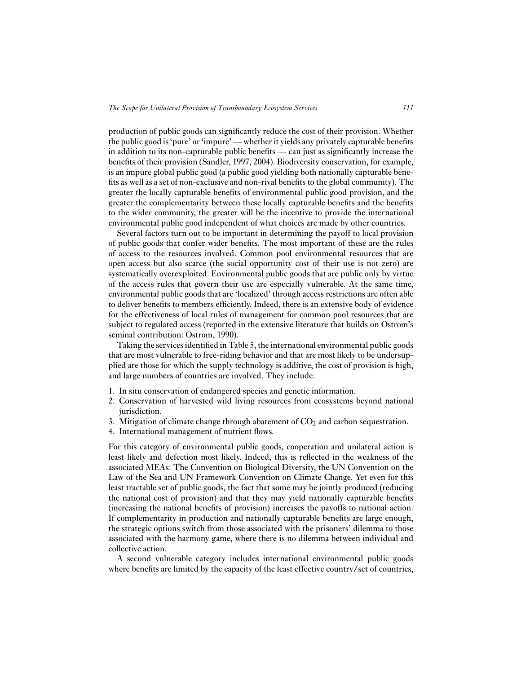production of public goods can significantly reduce the cost of their provision. Whether the public good is 'pure' or 'impure' — whether it yields any privately capturable benefits in addition to its non-capturable public benefits — can just as significantly increase the benefits of their provision (Sandler, 1997, 2004). Biodiversity conservation, for example, is an impure global public good (a public good yielding both nationally capturable benefits as well as a set of non-exclusive and non-rival benefits to the global community). The greater the locally capturable benefits of environmental public good provision, and the greater the complementarity between these locally capturable benefits and the benefits to the wider community, the greater will be the incentive to provide the international environmental public good independent of what choices are made by other countries.

Several factors turn out to be important in determining the payoff to local provision of public goods that confer wider benefits. The most important of these are the rules of access to the resources involved. Common pool environmental resources that are open access but also scarce (the social opportunity cost of their use is not zero) are systematically overexploited. Environmental public goods that are public only by virtue of the access rules that govern their use are especially vulnerable. At the same time, environmental public goods that are 'localized' through access restrictions are often able to deliver benefits to members efficiently. Indeed, there is an extensive body of evidence for the effectiveness of local rules of management for common pool resources that are subject to regulated access (reported in the extensive literature that builds on Ostrom's seminal contribution: Ostrom, 1990).

Taking the services identified in Table 5, the international environmental public goods that are most vulnerable to free-riding behavior and that are most likely to be undersupplied are those for which the supply technology is additive, the cost of provision is high, and large numbers of countries are involved. They include:

- 1. In situ conservation of endangered species and genetic information.
- 2. Conservation of harvested wild living resources from ecosystems beyond national jurisdiction.
- 3. Mitigation of climate change through abatement of  $CO<sub>2</sub>$  and carbon sequestration.
- 4. International management of nutrient flows.

For this category of environmental public goods, cooperation and unilateral action is least likely and defection most likely. Indeed, this is reflected in the weakness of the associated MEAs: The Convention on Biological Diversity, the UN Convention on the Law of the Sea and UN Framework Convention on Climate Change. Yet even for this least tractable set of public goods, the fact that some may be jointly produced (reducing the national cost of provision) and that they may yield nationally capturable benefits (increasing the national benefits of provision) increases the payoffs to national action. If complementarity in production and nationally capturable benefits are large enough, the strategic options switch from those associated with the prisoners' dilemma to those associated with the harmony game, where there is no dilemma between individual and collective action.

A second vulnerable category includes international environmental public goods where benefits are limited by the capacity of the least effective country/set of countries,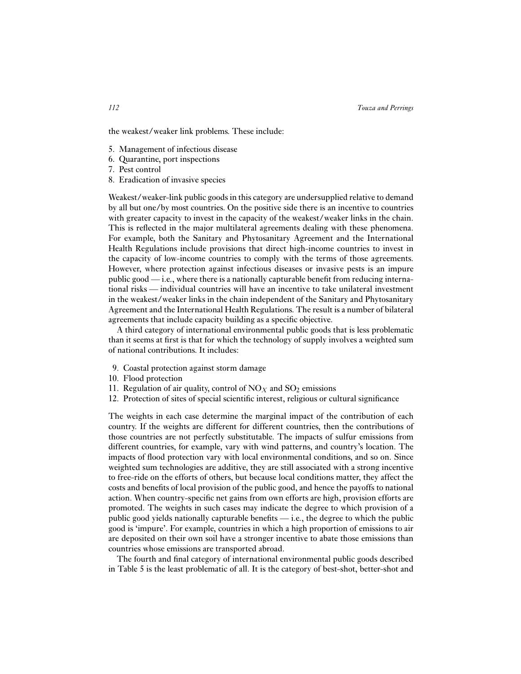the weakest/weaker link problems. These include:

- 5. Management of infectious disease
- 6. Quarantine, port inspections
- 7. Pest control
- 8. Eradication of invasive species

Weakest/weaker-link public goods in this category are undersupplied relative to demand by all but one/by most countries. On the positive side there is an incentive to countries with greater capacity to invest in the capacity of the weakest/weaker links in the chain. This is reflected in the major multilateral agreements dealing with these phenomena. For example, both the Sanitary and Phytosanitary Agreement and the International Health Regulations include provisions that direct high-income countries to invest in the capacity of low-income countries to comply with the terms of those agreements. However, where protection against infectious diseases or invasive pests is an impure public good — i.e., where there is a nationally capturable benefit from reducing international risks — individual countries will have an incentive to take unilateral investment in the weakest/weaker links in the chain independent of the Sanitary and Phytosanitary Agreement and the International Health Regulations. The result is a number of bilateral agreements that include capacity building as a specific objective.

A third category of international environmental public goods that is less problematic than it seems at first is that for which the technology of supply involves a weighted sum of national contributions. It includes:

- 9. Coastal protection against storm damage
- 10. Flood protection
- 11. Regulation of air quality, control of  $NO<sub>X</sub>$  and  $SO<sub>2</sub>$  emissions
- 12. Protection of sites of special scientific interest, religious or cultural significance

The weights in each case determine the marginal impact of the contribution of each country. If the weights are different for different countries, then the contributions of those countries are not perfectly substitutable. The impacts of sulfur emissions from different countries, for example, vary with wind patterns, and country's location. The impacts of flood protection vary with local environmental conditions, and so on. Since weighted sum technologies are additive, they are still associated with a strong incentive to free-ride on the efforts of others, but because local conditions matter, they affect the costs and benefits of local provision of the public good, and hence the payoffs to national action. When country-specific net gains from own efforts are high, provision efforts are promoted. The weights in such cases may indicate the degree to which provision of a public good yields nationally capturable benefits — i.e., the degree to which the public good is 'impure'. For example, countries in which a high proportion of emissions to air are deposited on their own soil have a stronger incentive to abate those emissions than countries whose emissions are transported abroad.

The fourth and final category of international environmental public goods described in Table 5 is the least problematic of all. It is the category of best-shot, better-shot and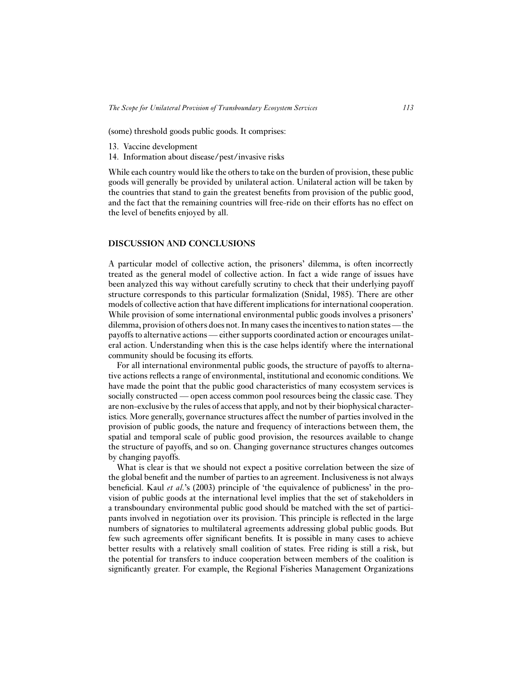(some) threshold goods public goods. It comprises:

- 13. Vaccine development
- 14. Information about disease/pest/invasive risks

While each country would like the others to take on the burden of provision, these public goods will generally be provided by unilateral action. Unilateral action will be taken by the countries that stand to gain the greatest benefits from provision of the public good, and the fact that the remaining countries will free-ride on their efforts has no effect on the level of benefits enjoyed by all.

# **DISCUSSION AND CONCLUSIONS**

A particular model of collective action, the prisoners' dilemma, is often incorrectly treated as the general model of collective action. In fact a wide range of issues have been analyzed this way without carefully scrutiny to check that their underlying payoff structure corresponds to this particular formalization (Snidal, 1985). There are other models of collective action that have different implications for international cooperation. While provision of some international environmental public goods involves a prisoners' dilemma, provision of others does not. In many cases the incentives to nation states— the payoffs to alternative actions — either supports coordinated action or encourages unilateral action. Understanding when this is the case helps identify where the international community should be focusing its efforts.

For all international environmental public goods, the structure of payoffs to alternative actions reflects a range of environmental, institutional and economic conditions. We have made the point that the public good characteristics of many ecosystem services is socially constructed — open access common pool resources being the classic case. They are non-exclusive by the rules of access that apply, and not by their biophysical characteristics. More generally, governance structures affect the number of parties involved in the provision of public goods, the nature and frequency of interactions between them, the spatial and temporal scale of public good provision, the resources available to change the structure of payoffs, and so on. Changing governance structures changes outcomes by changing payoffs.

What is clear is that we should not expect a positive correlation between the size of the global benefit and the number of parties to an agreement. Inclusiveness is not always beneficial. Kaul *et al.*'s (2003) principle of 'the equivalence of publicness' in the provision of public goods at the international level implies that the set of stakeholders in a transboundary environmental public good should be matched with the set of participants involved in negotiation over its provision. This principle is reflected in the large numbers of signatories to multilateral agreements addressing global public goods. But few such agreements offer significant benefits. It is possible in many cases to achieve better results with a relatively small coalition of states. Free riding is still a risk, but the potential for transfers to induce cooperation between members of the coalition is significantly greater. For example, the Regional Fisheries Management Organizations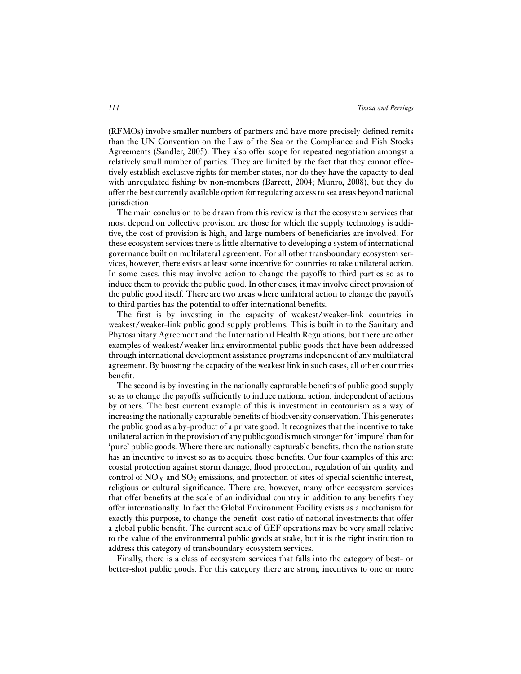(RFMOs) involve smaller numbers of partners and have more precisely defined remits than the UN Convention on the Law of the Sea or the Compliance and Fish Stocks Agreements (Sandler, 2005). They also offer scope for repeated negotiation amongst a relatively small number of parties. They are limited by the fact that they cannot effectively establish exclusive rights for member states, nor do they have the capacity to deal with unregulated fishing by non-members (Barrett, 2004; Munro, 2008), but they do offer the best currently available option for regulating access to sea areas beyond national jurisdiction.

The main conclusion to be drawn from this review is that the ecosystem services that most depend on collective provision are those for which the supply technology is additive, the cost of provision is high, and large numbers of beneficiaries are involved. For these ecosystem services there is little alternative to developing a system of international governance built on multilateral agreement. For all other transboundary ecosystem services, however, there exists at least some incentive for countries to take unilateral action. In some cases, this may involve action to change the payoffs to third parties so as to induce them to provide the public good. In other cases, it may involve direct provision of the public good itself. There are two areas where unilateral action to change the payoffs to third parties has the potential to offer international benefits.

The first is by investing in the capacity of weakest/weaker-link countries in weakest/weaker-link public good supply problems. This is built in to the Sanitary and Phytosanitary Agreement and the International Health Regulations, but there are other examples of weakest/weaker link environmental public goods that have been addressed through international development assistance programs independent of any multilateral agreement. By boosting the capacity of the weakest link in such cases, all other countries benefit.

The second is by investing in the nationally capturable benefits of public good supply so as to change the payoffs sufficiently to induce national action, independent of actions by others. The best current example of this is investment in ecotourism as a way of increasing the nationally capturable benefits of biodiversity conservation. This generates the public good as a by-product of a private good. It recognizes that the incentive to take unilateral action in the provision of any public good is much stronger for 'impure' than for 'pure' public goods. Where there are nationally capturable benefits, then the nation state has an incentive to invest so as to acquire those benefits. Our four examples of this are: coastal protection against storm damage, flood protection, regulation of air quality and control of  $NO<sub>X</sub>$  and  $SO<sub>2</sub>$  emissions, and protection of sites of special scientific interest, religious or cultural significance. There are, however, many other ecosystem services that offer benefits at the scale of an individual country in addition to any benefits they offer internationally. In fact the Global Environment Facility exists as a mechanism for exactly this purpose, to change the benefit–cost ratio of national investments that offer a global public benefit. The current scale of GEF operations may be very small relative to the value of the environmental public goods at stake, but it is the right institution to address this category of transboundary ecosystem services.

Finally, there is a class of ecosystem services that falls into the category of best- or better-shot public goods. For this category there are strong incentives to one or more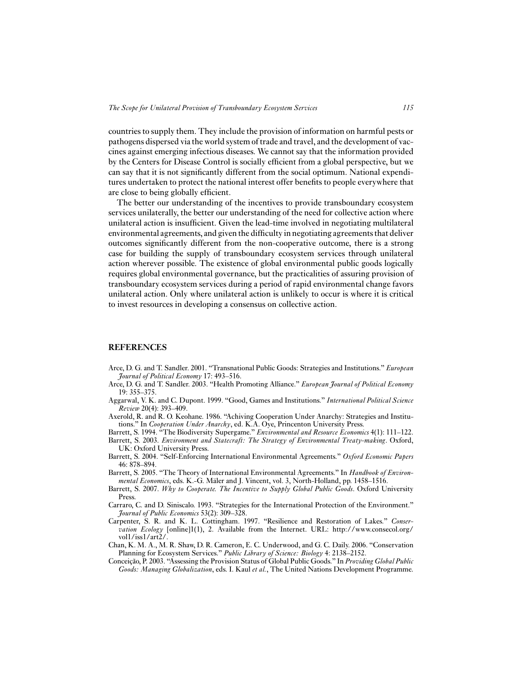countries to supply them. They include the provision of information on harmful pests or pathogens dispersed via the world system of trade and travel, and the development of vaccines against emerging infectious diseases. We cannot say that the information provided by the Centers for Disease Control is socially efficient from a global perspective, but we can say that it is not significantly different from the social optimum. National expenditures undertaken to protect the national interest offer benefits to people everywhere that are close to being globally efficient.

The better our understanding of the incentives to provide transboundary ecosystem services unilaterally, the better our understanding of the need for collective action where unilateral action is insufficient. Given the lead-time involved in negotiating multilateral environmental agreements, and given the difficulty in negotiating agreements that deliver outcomes significantly different from the non-cooperative outcome, there is a strong case for building the supply of transboundary ecosystem services through unilateral action wherever possible. The existence of global environmental public goods logically requires global environmental governance, but the practicalities of assuring provision of transboundary ecosystem services during a period of rapid environmental change favors unilateral action. Only where unilateral action is unlikely to occur is where it is critical to invest resources in developing a consensus on collective action.

#### **REFERENCES**

- Arce, D. G. and T. Sandler. 2001. "Transnational Public Goods: Strategies and Institutions." *European Journal of Political Economy* 17: 493–516.
- Arce, D. G. and T. Sandler. 2003. "Health Promoting Alliance." *European Journal of Political Economy* 19: 355–375.
- Aggarwal, V. K. and C. Dupont. 1999. "Good, Games and Institutions." *International Political Science Review* 20(4): 393–409.
- Axerold, R. and R. O. Keohane. 1986. "Achiving Cooperation Under Anarchy: Strategies and Institutions." In *Cooperation Under Anarchy*, ed. K.A. Oye, Princenton University Press.
- Barrett, S. 1994. "The Biodiversity Supergame." *Environmental and Resource Economics* 4(1): 111–122.
- Barrett, S. 2003. *Environment and Statecraft: The Strategy of Environmental Treaty-making*. Oxford, UK: Oxford University Press.
- Barrett, S. 2004. "Self-Enforcing International Environmental Agreements." *Oxford Economic Papers* 46: 878–894.
- Barrett, S. 2005. "The Theory of International Environmental Agreements." In *Handbook of Environmental Economics*, eds. K.-G. Mäler and J. Vincent, vol. 3, North-Holland, pp. 1458–1516.
- Barrett, S. 2007. *Why to Cooperate. The Incentive to Supply Global Public Goods*. Oxford University Press.
- Carraro, C. and D. Siniscalo. 1993. "Strategies for the International Protection of the Environment." *Journal of Public Economics* 53(2): 309–328.
- Carpenter, S. R. and K. L. Cottingham. 1997. "Resilience and Restoration of Lakes." *Conservation Ecology* [online]1(1), 2. Available from the Internet. URL: http://www.consecol.org/ vol1/iss1/art2/.
- Chan, K. M. A., M. R. Shaw, D. R. Cameron, E. C. Underwood, and G. C. Daily. 2006. "Conservation Planning for Ecosystem Services." *Public Library of Science: Biology* 4: 2138–2152.
- Conceição, P. 2003. "Assessing the Provision Status of Global Public Goods." In *Providing Global Public Goods: Managing Globalization*, eds. I. Kaul *et al.*, The United Nations Development Programme.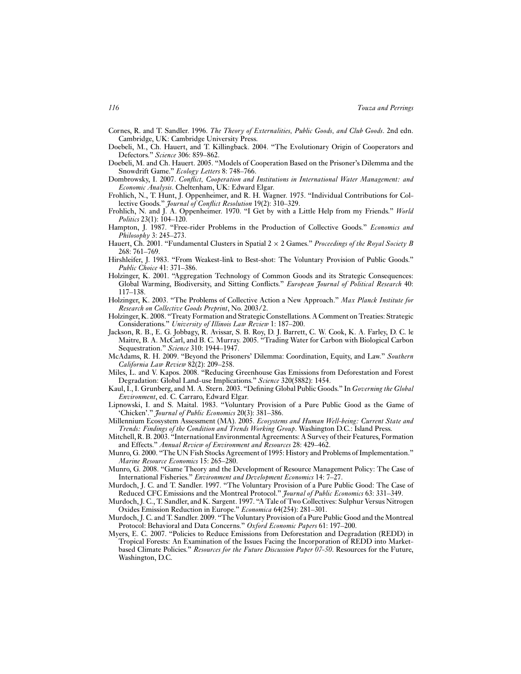Cornes, R. and T. Sandler. 1996. *The Theory of Externalities, Public Goods, and Club Goods*. 2nd edn. Cambridge, UK: Cambridge University Press.

- Doebeli, M., Ch. Hauert, and T. Killingback. 2004. "The Evolutionary Origin of Cooperators and Defectors." *Science* 306: 859–862.
- Doebeli, M. and Ch. Hauert. 2005. "Models of Cooperation Based on the Prisoner's Dilemma and the Snowdrift Game." *Ecology Letters* 8: 748–766.
- Dombrowsky, I. 2007. *Conflict, Cooperation and Institutions in International Water Management: and Economic Analysis*. Cheltenham, UK: Edward Elgar.
- Frohlich, N., T. Hunt, J. Oppenheimer, and R. H. Wagner. 1975. "Individual Contributions for Collective Goods." *Journal of Conflict Resolution* 19(2): 310–329.
- Frohlich, N. and J. A. Oppenheimer. 1970. "I Get by with a Little Help from my Friends." *World Politics* 23(1): 104–120.
- Hampton, J. 1987. "Free-rider Problems in the Production of Collective Goods." *Economics and Philosophy* 3: 245–273.
- Hauert, Ch. 2001. "Fundamental Clusters in Spatial 2 × 2 Games." *Proceedings of the Royal Society B* 268: 761–769.
- Hirshleifer, J. 1983. "From Weakest-link to Best-shot: The Voluntary Provision of Public Goods." *Public Choice* 41: 371–386.
- Holzinger, K. 2001. "Aggregation Technology of Common Goods and its Strategic Consequences: Global Warming, Biodiversity, and Sitting Conflicts." *European Journal of Political Research* 40: 117–138.
- Holzinger, K. 2003. "The Problems of Collective Action a New Approach." *Max Planck Institute for Research on Collective Goods Preprint*, No. 2003/2.
- Holzinger, K. 2008. "Treaty Formation and Strategic Constellations. A Comment on Treaties: Strategic Considerations." *University of Illinois Law Review* 1: 187–200.
- Jackson, R. B., E. G. Jobbagy, R. Avissar, S. B. Roy, D. J. Barrett, C. W. Cook, K. A. Farley, D. C. le Maitre, B. A. McCarl, and B. C. Murray. 2005. "Trading Water for Carbon with Biological Carbon Sequestration." *Science* 310: 1944–1947.
- McAdams, R. H. 2009. "Beyond the Prisoners' Dilemma: Coordination, Equity, and Law." *Southern California Law Review* 82(2): 209–258.
- Miles, L. and V. Kapos. 2008. "Reducing Greenhouse Gas Emissions from Deforestation and Forest Degradation: Global Land-use Implications." *Science* 320(5882): 1454.
- Kaul, I., I. Grunberg, and M. A. Stern. 2003. "Defining Global Public Goods." In *Governing the Global Environment*, ed. C. Carraro, Edward Elgar.
- Lipnowski, I. and S. Maital. 1983. "Voluntary Provision of a Pure Public Good as the Game of 'Chicken'." *Journal of Public Economics* 20(3): 381–386.
- Millennium Ecosystem Assessment (MA). 2005. *Ecosystems and Human Well-being: Current State and Trends: Findings of the Condition and Trends Working Group*. Washington D.C.: Island Press.
- Mitchell, R. B. 2003. "International Environmental Agreements: A Survey of their Features, Formation and Effects." *Annual Review of Environment and Resources* 28: 429–462.
- Munro, G. 2000. "The UN Fish Stocks Agreement of 1995: History and Problems of Implementation." *Marine Resource Economics* 15: 265–280.
- Munro, G. 2008. "Game Theory and the Development of Resource Management Policy: The Case of International Fisheries." *Environment and Development Economics* 14: 7–27.
- Murdoch, J. C. and T. Sandler. 1997. "The Voluntary Provision of a Pure Public Good: The Case of Reduced CFC Emissions and the Montreal Protocol." *Journal of Public Economics* 63: 331–349.
- Murdoch, J. C., T. Sandler, and K. Sargent. 1997. "A Tale of Two Collectives: Sulphur Versus Nitrogen Oxides Emission Reduction in Europe." *Economica* 64(254): 281–301.
- Murdoch, J. C. and T. Sandler. 2009. "The Voluntary Provision of a Pure Public Good and the Montreal Protocol: Behavioral and Data Concerns." *Oxford Economic Papers* 61: 197–200.
- Myers, E. C. 2007. "Policies to Reduce Emissions from Deforestation and Degradation (REDD) in Tropical Forests: An Examination of the Issues Facing the Incorporation of REDD into Marketbased Climate Policies." *Resources for the Future Discussion Paper 07-50*. Resources for the Future, Washington, D.C.